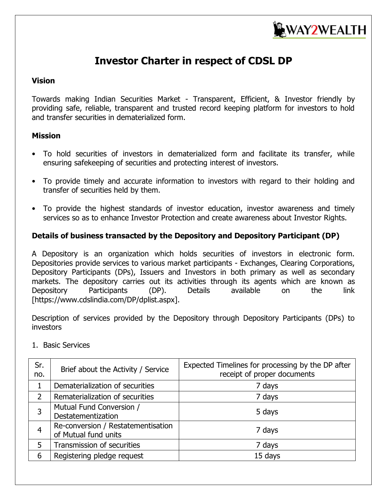

# **Investor Charter in respect of CDSL DP**

#### **Vision**

Towards making Indian Securities Market - Transparent, Efficient, & Investor friendly by providing safe, reliable, transparent and trusted record keeping platform for investors to hold and transfer securities in dematerialized form.

#### **Mission**

- To hold securities of investors in dematerialized form and facilitate its transfer, while ensuring safekeeping of securities and protecting interest of investors.
- To provide timely and accurate information to investors with regard to their holding and transfer of securities held by them.
- To provide the highest standards of investor education, investor awareness and timely services so as to enhance Investor Protection and create awareness about Investor Rights.

#### **Details of business transacted by the Depository and Depository Participant (DP)**

A Depository is an organization which holds securities of investors in electronic form. Depositories provide services to various market participants - Exchanges, Clearing Corporations, Depository Participants (DPs), Issuers and Investors in both primary as well as secondary markets. The depository carries out its activities through its agents which are known as Depository Participants (DP). Details available on the link [https://www.cdslindia.com/DP/dplist.aspx].

Description of services provided by the Depository through Depository Participants (DPs) to investors

| Sr.<br>no. | Brief about the Activity / Service                         | Expected Timelines for processing by the DP after<br>receipt of proper documents |
|------------|------------------------------------------------------------|----------------------------------------------------------------------------------|
|            | Dematerialization of securities                            | 7 days                                                                           |
|            | Rematerialization of securities                            | 7 days                                                                           |
| 3          | Mutual Fund Conversion /<br>Destatementization             | 5 days                                                                           |
| 4          | Re-conversion / Restatementisation<br>of Mutual fund units | 7 days                                                                           |
| 5          | Transmission of securities                                 | 7 days                                                                           |
| 6          | Registering pledge request                                 | 15 days                                                                          |

#### 1. Basic Services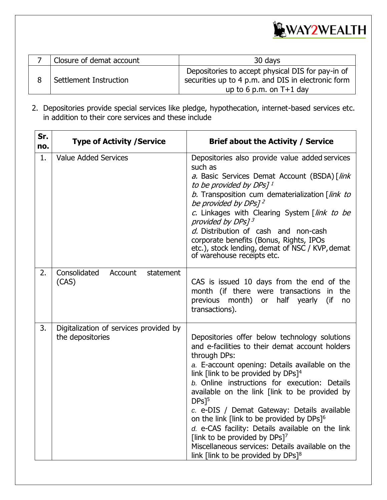

| Closure of demat account<br>30 days |                                                                                                                                      |  |  |  |  |
|-------------------------------------|--------------------------------------------------------------------------------------------------------------------------------------|--|--|--|--|
| Settlement Instruction              | Depositories to accept physical DIS for pay-in of<br>securities up to 4 p.m. and DIS in electronic form<br>up to 6 p.m. on $T+1$ day |  |  |  |  |

2. Depositories provide special services like pledge, hypothecation, internet-based services etc. in addition to their core services and these include

| Sr.<br>no. | <b>Type of Activity / Service</b>                          | <b>Brief about the Activity / Service</b>                                                                                                                                                                                                                                                                                                                                                                                                                                                                                                                                                                                                                       |  |  |
|------------|------------------------------------------------------------|-----------------------------------------------------------------------------------------------------------------------------------------------------------------------------------------------------------------------------------------------------------------------------------------------------------------------------------------------------------------------------------------------------------------------------------------------------------------------------------------------------------------------------------------------------------------------------------------------------------------------------------------------------------------|--|--|
| 1.         | <b>Value Added Services</b>                                | Depositories also provide value added services<br>such as<br>a. Basic Services Demat Account (BSDA) [link<br>to be provided by DPs] <sup>1</sup><br>b. Transposition cum dematerialization [link to<br>be provided by DPs] <sup>2</sup><br>c. Linkages with Clearing System [link to be<br>provided by DPs] <sup>3</sup><br>d. Distribution of cash and non-cash<br>corporate benefits (Bonus, Rights, IPOs<br>etc.), stock lending, demat of NSC / KVP, demat<br>of warehouse receipts etc.                                                                                                                                                                    |  |  |
| 2.         | Consolidated<br>Account<br>statement<br>(CAS)              | CAS is issued 10 days from the end of the<br>month (if there were transactions<br>the<br>in<br>previous month) or half yearly<br>(if<br>no<br>transactions).                                                                                                                                                                                                                                                                                                                                                                                                                                                                                                    |  |  |
| 3.         | Digitalization of services provided by<br>the depositories | Depositories offer below technology solutions<br>and e-facilities to their demat account holders<br>through DPs:<br>a. E-account opening: Details available on the<br>link [link to be provided by DPs] <sup>4</sup><br>b. Online instructions for execution: Details<br>available on the link [link to be provided by<br>$DPs$ <sup>[5]</sup><br>c. e-DIS / Demat Gateway: Details available<br>on the link [link to be provided by DPs] <sup>6</sup><br>d. e-CAS facility: Details available on the link<br>[link to be provided by DPs] <sup>7</sup><br>Miscellaneous services: Details available on the<br>link [link to be provided by $DPs]$ <sup>8</sup> |  |  |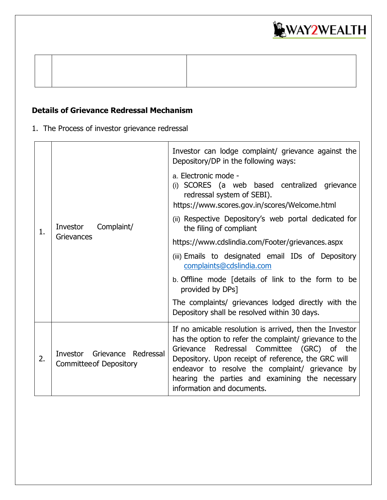

## **Details of Grievance Redressal Mechanism**

1. The Process of investor grievance redressal

|    |                                                                   | Investor can lodge complaint/ grievance against the<br>Depository/DP in the following ways:                                                                                                                                                                                                                                                                 |
|----|-------------------------------------------------------------------|-------------------------------------------------------------------------------------------------------------------------------------------------------------------------------------------------------------------------------------------------------------------------------------------------------------------------------------------------------------|
|    | Complaint/<br>Investor<br>Grievances                              | a. Electronic mode -<br>(i) SCORES (a web based centralized grievance<br>redressal system of SEBI).<br>https://www.scores.gov.in/scores/Welcome.html                                                                                                                                                                                                        |
| 1. |                                                                   | (ii) Respective Depository's web portal dedicated for<br>the filing of compliant                                                                                                                                                                                                                                                                            |
|    |                                                                   | https://www.cdslindia.com/Footer/grievances.aspx                                                                                                                                                                                                                                                                                                            |
|    |                                                                   | (iii) Emails to designated email IDs of Depository<br>complaints@cdslindia.com                                                                                                                                                                                                                                                                              |
|    |                                                                   | b. Offline mode [details of link to the form to be<br>provided by DPs]                                                                                                                                                                                                                                                                                      |
|    |                                                                   | The complaints/ grievances lodged directly with the<br>Depository shall be resolved within 30 days.                                                                                                                                                                                                                                                         |
| 2. | Investor<br>Grievance Redressal<br><b>Committee of Depository</b> | If no amicable resolution is arrived, then the Investor<br>has the option to refer the complaint/ grievance to the<br>Grievance Redressal Committee (GRC) of the<br>Depository. Upon receipt of reference, the GRC will<br>endeavor to resolve the complaint/ grievance by<br>hearing the parties and examining the necessary<br>information and documents. |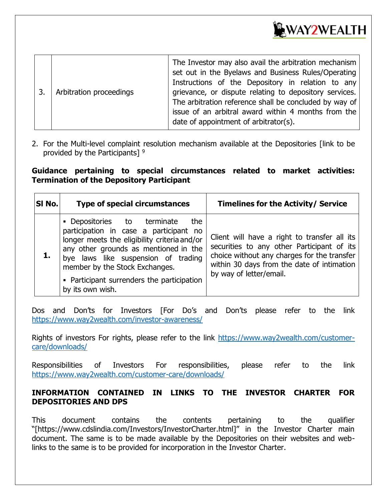

| Arbitration proceedings<br>3. |  | The Investor may also avail the arbitration mechanism<br>set out in the Byelaws and Business Rules/Operating<br>Instructions of the Depository in relation to any<br>grievance, or dispute relating to depository services.<br>The arbitration reference shall be concluded by way of<br>issue of an arbitral award within 4 months from the<br>date of appointment of arbitrator(s). |
|-------------------------------|--|---------------------------------------------------------------------------------------------------------------------------------------------------------------------------------------------------------------------------------------------------------------------------------------------------------------------------------------------------------------------------------------|
|-------------------------------|--|---------------------------------------------------------------------------------------------------------------------------------------------------------------------------------------------------------------------------------------------------------------------------------------------------------------------------------------------------------------------------------------|

2. For the Multi-level complaint resolution mechanism available at the Depositories [link to be provided by the Participants] <sup>9</sup>

#### **Guidance pertaining to special circumstances related to market activities: Termination of the Depository Participant**

| SI No. | <b>Type of special circumstances</b>                                                                                                                                                                                                                                                                             | <b>Timelines for the Activity/ Service</b>                                                                                                                                                                         |  |  |
|--------|------------------------------------------------------------------------------------------------------------------------------------------------------------------------------------------------------------------------------------------------------------------------------------------------------------------|--------------------------------------------------------------------------------------------------------------------------------------------------------------------------------------------------------------------|--|--|
|        | • Depositories to terminate<br>the<br>participation in case a participant no<br>longer meets the eligibility criteria and/or<br>any other grounds as mentioned in the<br>bye laws like suspension of trading<br>member by the Stock Exchanges.<br>• Participant surrenders the participation<br>by its own wish. | Client will have a right to transfer all its<br>securities to any other Participant of its<br>choice without any charges for the transfer<br>within 30 days from the date of intimation<br>by way of letter/email. |  |  |

Dos and Don'ts for Investors [For Do's and Don'ts please refer to the link <https://www.way2wealth.com/investor-awareness/>

Rights of investors For rights, please refer to the link [https://www.way2wealth.com/customer](https://www.way2wealth.com/customer-care/downloads/)[care/downloads/](https://www.way2wealth.com/customer-care/downloads/)

Responsibilities of Investors For responsibilities, please refer to the link <https://www.way2wealth.com/customer-care/downloads/>

#### **INFORMATION CONTAINED IN LINKS TO THE INVESTOR CHARTER FOR DEPOSITORIES AND DPS**

This document contains the contents pertaining to the qualifier "[https://www.cdslindia.com/Investors/InvestorCharter.html]" in the Investor Charter main document. The same is to be made available by the Depositories on their websites and weblinks to the same is to be provided for incorporation in the Investor Charter.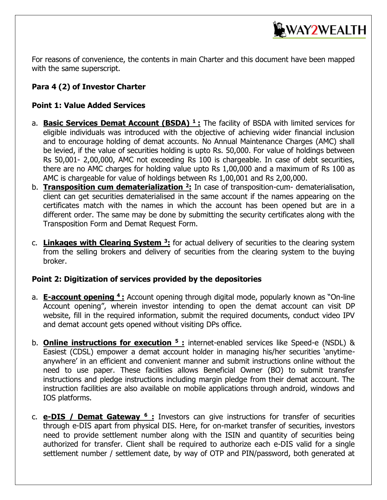

For reasons of convenience, the contents in main Charter and this document have been mapped with the same superscript.

## **Para 4 (2) of Investor Charter**

### **Point 1: Value Added Services**

- a. **Basic Services Demat Account (BSDA) <sup>1</sup> :** The facility of BSDA with limited services for eligible individuals was introduced with the objective of achieving wider financial inclusion and to encourage holding of demat accounts. No Annual Maintenance Charges (AMC) shall be levied, if the value of securities holding is upto Rs. 50,000. For value of holdings between Rs 50,001- 2,00,000, AMC not exceeding Rs 100 is chargeable. In case of debt securities, there are no AMC charges for holding value upto Rs 1,00,000 and a maximum of Rs 100 as AMC is chargeable for value of holdings between Rs 1,00,001 and Rs 2,00,000.
- b. **Transposition cum dematerialization <sup>2</sup> :** In case of transposition-cum- dematerialisation, client can get securities dematerialised in the same account if the names appearing on the certificates match with the names in which the account has been opened but are in a different order. The same may be done by submitting the security certificates along with the Transposition Form and Demat Request Form.
- c. **Linkages with Clearing System <sup>3</sup> :** for actual delivery of securities to the clearing system from the selling brokers and delivery of securities from the clearing system to the buying broker.

#### **Point 2: Digitization of services provided by the depositories**

- a. **E-account opening <sup>4</sup>:** Account opening through digital mode, popularly known as "On-line Account opening", wherein investor intending to open the demat account can visit DP website, fill in the required information, submit the required documents, conduct video IPV and demat account gets opened without visiting DPs office.
- b. **Online instructions for execution <sup>5</sup> :** internet-enabled services like Speed-e (NSDL) & Easiest (CDSL) empower a demat account holder in managing his/her securities 'anytimeanywhere' in an efficient and convenient manner and submit instructions online without the need to use paper. These facilities allows Beneficial Owner (BO) to submit transfer instructions and pledge instructions including margin pledge from their demat account. The instruction facilities are also available on mobile applications through android, windows and IOS platforms.
- c. **e-DIS / Demat Gateway <sup>6</sup> :** Investors can give instructions for transfer of securities through e-DIS apart from physical DIS. Here, for on-market transfer of securities, investors need to provide settlement number along with the ISIN and quantity of securities being authorized for transfer. Client shall be required to authorize each e-DIS valid for a single settlement number / settlement date, by way of OTP and PIN/password, both generated at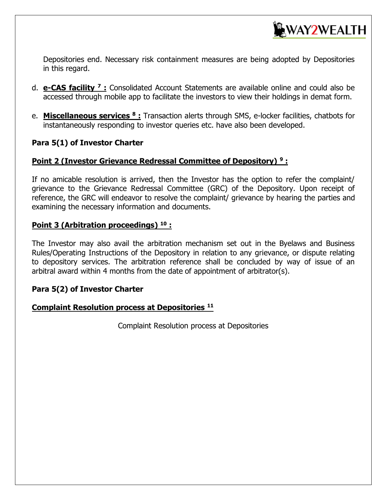

Depositories end. Necessary risk containment measures are being adopted by Depositories in this regard.

- d. **e-CAS facility <sup>7</sup> :** Consolidated Account Statements are available online and could also be accessed through mobile app to facilitate the investors to view their holdings in demat form.
- e. **Miscellaneous services <sup>8</sup> :** Transaction alerts through SMS, e-locker facilities, chatbots for instantaneously responding to investor queries etc. have also been developed.

#### **Para 5(1) of Investor Charter**

#### **Point 2 (Investor Grievance Redressal Committee of Depository) <sup>9</sup> :**

If no amicable resolution is arrived, then the Investor has the option to refer the complaint/ grievance to the Grievance Redressal Committee (GRC) of the Depository. Upon receipt of reference, the GRC will endeavor to resolve the complaint/ grievance by hearing the parties and examining the necessary information and documents.

#### **Point 3 (Arbitration proceedings) <sup>10</sup> :**

The Investor may also avail the arbitration mechanism set out in the Byelaws and Business Rules/Operating Instructions of the Depository in relation to any grievance, or dispute relating to depository services. The arbitration reference shall be concluded by way of issue of an arbitral award within 4 months from the date of appointment of arbitrator(s).

#### **Para 5(2) of Investor Charter**

#### **Complaint Resolution process at Depositories <sup>11</sup>**

Complaint Resolution process at Depositories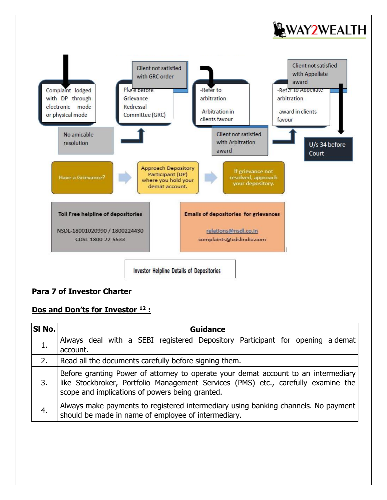



## **Para 7 of Investor Charter**

### **Dos and Don'ts for Investor <sup>12</sup> :**

| SI No. | Guidance                                                                                                                                                                                                                   |  |  |  |  |  |
|--------|----------------------------------------------------------------------------------------------------------------------------------------------------------------------------------------------------------------------------|--|--|--|--|--|
|        | Always deal with a SEBI registered Depository Participant for opening a demat<br>account.                                                                                                                                  |  |  |  |  |  |
| 2.     | Read all the documents carefully before signing them.                                                                                                                                                                      |  |  |  |  |  |
| 3.     | Before granting Power of attorney to operate your demat account to an intermediary<br>like Stockbroker, Portfolio Management Services (PMS) etc., carefully examine the<br>scope and implications of powers being granted. |  |  |  |  |  |
| 4.     | Always make payments to registered intermediary using banking channels. No payment<br>should be made in name of employee of intermediary.                                                                                  |  |  |  |  |  |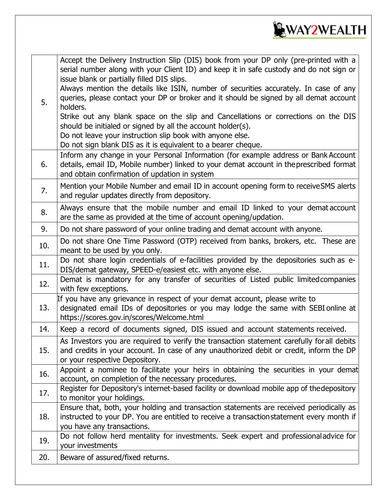

| 5.  | Accept the Delivery Instruction Slip (DIS) book from your DP only (pre-printed with a<br>serial number along with your Client ID) and keep it in safe custody and do not sign or<br>issue blank or partially filled DIS slips.<br>Always mention the details like ISIN, number of securities accurately. In case of any<br>queries, please contact your DP or broker and it should be signed by all demat account<br>holders.<br>Strike out any blank space on the slip and Cancellations or corrections on the DIS<br>should be initialed or signed by all the account holder(s).<br>Do not leave your instruction slip book with anyone else.<br>Do not sign blank DIS as it is equivalent to a bearer cheque. |
|-----|------------------------------------------------------------------------------------------------------------------------------------------------------------------------------------------------------------------------------------------------------------------------------------------------------------------------------------------------------------------------------------------------------------------------------------------------------------------------------------------------------------------------------------------------------------------------------------------------------------------------------------------------------------------------------------------------------------------|
| 6.  | Inform any change in your Personal Information (for example address or Bank Account<br>details, email ID, Mobile number) linked to your demat account in the prescribed format<br>and obtain confirmation of updation in system                                                                                                                                                                                                                                                                                                                                                                                                                                                                                  |
| 7.  | Mention your Mobile Number and email ID in account opening form to receive SMS alerts<br>and regular updates directly from depository.                                                                                                                                                                                                                                                                                                                                                                                                                                                                                                                                                                           |
| 8.  | Always ensure that the mobile number and email ID linked to your demataccount<br>are the same as provided at the time of account opening/updation.                                                                                                                                                                                                                                                                                                                                                                                                                                                                                                                                                               |
| 9.  | Do not share password of your online trading and demat account with anyone.                                                                                                                                                                                                                                                                                                                                                                                                                                                                                                                                                                                                                                      |
| 10. | Do not share One Time Password (OTP) received from banks, brokers, etc. These are<br>meant to be used by you only.                                                                                                                                                                                                                                                                                                                                                                                                                                                                                                                                                                                               |
| 11. | Do not share login credentials of e-facilities provided by the depositories such as e-<br>DIS/demat gateway, SPEED-e/easiest etc. with anyone else.                                                                                                                                                                                                                                                                                                                                                                                                                                                                                                                                                              |
| 12. | Demat is mandatory for any transfer of securities of Listed public limited companies<br>with few exceptions.                                                                                                                                                                                                                                                                                                                                                                                                                                                                                                                                                                                                     |
| 13. | If you have any grievance in respect of your demat account, please write to<br>designated email IDs of depositories or you may lodge the same with SEBI online at<br>https://scores.gov.in/scores/Welcome.html                                                                                                                                                                                                                                                                                                                                                                                                                                                                                                   |
| 14. | Keep a record of documents signed, DIS issued and account statements received.                                                                                                                                                                                                                                                                                                                                                                                                                                                                                                                                                                                                                                   |
| 15. | As Investors you are required to verify the transaction statement carefully for all debits<br>and credits in your account. In case of any unauthorized debit or credit, inform the DP<br>or your respective Depository.                                                                                                                                                                                                                                                                                                                                                                                                                                                                                          |
| 16. | Appoint a nominee to facilitate your heirs in obtaining the securities in your demat<br>account, on completion of the necessary procedures.                                                                                                                                                                                                                                                                                                                                                                                                                                                                                                                                                                      |
| 17. | Register for Depository's internet-based facility or download mobile app of thedepository<br>to monitor your holdings.                                                                                                                                                                                                                                                                                                                                                                                                                                                                                                                                                                                           |
| 18. | Ensure that, both, your holding and transaction statements are received periodically as<br>instructed to your DP. You are entitled to receive a transactionstatement every month if<br>you have any transactions.                                                                                                                                                                                                                                                                                                                                                                                                                                                                                                |
| 19. | Do not follow herd mentality for investments. Seek expert and professionaladvice for<br>your investments                                                                                                                                                                                                                                                                                                                                                                                                                                                                                                                                                                                                         |
| 20. | Beware of assured/fixed returns.                                                                                                                                                                                                                                                                                                                                                                                                                                                                                                                                                                                                                                                                                 |
|     |                                                                                                                                                                                                                                                                                                                                                                                                                                                                                                                                                                                                                                                                                                                  |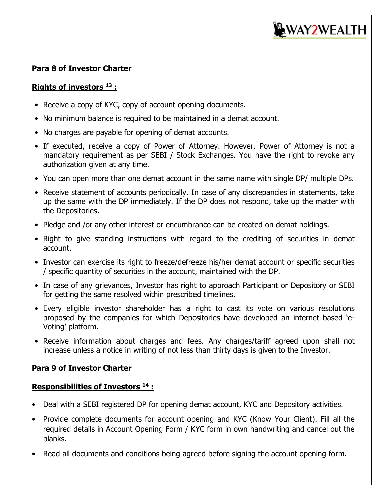

#### **Para 8 of Investor Charter**

### **Rights of investors <sup>13</sup> :**

- Receive a copy of KYC, copy of account opening documents.
- No minimum balance is required to be maintained in a demat account.
- No charges are payable for opening of demat accounts.
- If executed, receive a copy of Power of Attorney. However, Power of Attorney is not a mandatory requirement as per SEBI / Stock Exchanges. You have the right to revoke any authorization given at any time.
- You can open more than one demat account in the same name with single DP/ multiple DPs.
- Receive statement of accounts periodically. In case of any discrepancies in statements, take up the same with the DP immediately. If the DP does not respond, take up the matter with the Depositories.
- Pledge and /or any other interest or encumbrance can be created on demat holdings.
- Right to give standing instructions with regard to the crediting of securities in demat account.
- Investor can exercise its right to freeze/defreeze his/her demat account or specific securities / specific quantity of securities in the account, maintained with the DP.
- In case of any grievances, Investor has right to approach Participant or Depository or SEBI for getting the same resolved within prescribed timelines.
- Every eligible investor shareholder has a right to cast its vote on various resolutions proposed by the companies for which Depositories have developed an internet based 'e-Voting' platform.
- Receive information about charges and fees. Any charges/tariff agreed upon shall not increase unless a notice in writing of not less than thirty days is given to the Investor.

### **Para 9 of Investor Charter**

#### **Responsibilities of Investors <sup>14</sup> :**

- Deal with a SEBI registered DP for opening demat account, KYC and Depository activities.
- Provide complete documents for account opening and KYC (Know Your Client). Fill all the required details in Account Opening Form / KYC form in own handwriting and cancel out the blanks.
- Read all documents and conditions being agreed before signing the account opening form.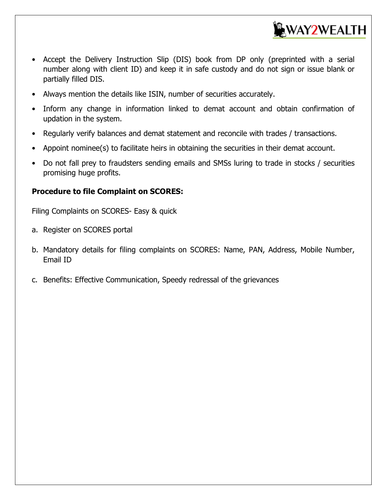

- Accept the Delivery Instruction Slip (DIS) book from DP only (preprinted with a serial number along with client ID) and keep it in safe custody and do not sign or issue blank or partially filled DIS.
- Always mention the details like ISIN, number of securities accurately.
- Inform any change in information linked to demat account and obtain confirmation of updation in the system.
- Regularly verify balances and demat statement and reconcile with trades / transactions.
- Appoint nominee(s) to facilitate heirs in obtaining the securities in their demat account.
- Do not fall prey to fraudsters sending emails and SMSs luring to trade in stocks / securities promising huge profits.

#### **Procedure to file Complaint on SCORES:**

Filing Complaints on SCORES- Easy & quick

- a. Register on SCORES portal
- b. Mandatory details for filing complaints on SCORES: Name, PAN, Address, Mobile Number, Email ID
- c. Benefits: Effective Communication, Speedy redressal of the grievances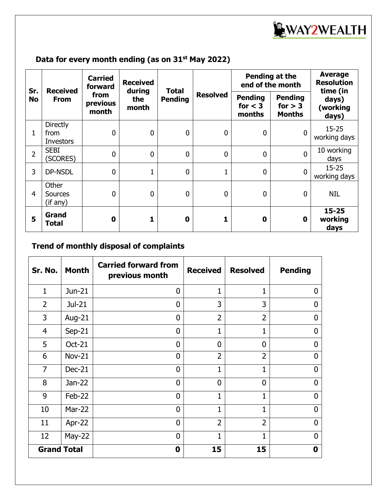

## **Data for every month ending (as on 31st May 2022)**

| Sr.            | <b>Received</b><br><b>From</b>              | <b>Carried</b><br>forward<br>from<br>previous<br>month | <b>Received</b><br>during<br>the<br>month | <b>Total</b><br><b>Pending</b> | <b>Resolved</b> | Pending at the<br>end of the month    |                                              | <b>Average</b><br><b>Resolution</b><br>time (in |
|----------------|---------------------------------------------|--------------------------------------------------------|-------------------------------------------|--------------------------------|-----------------|---------------------------------------|----------------------------------------------|-------------------------------------------------|
| <b>No</b>      |                                             |                                                        |                                           |                                |                 | <b>Pending</b><br>for $<$ 3<br>months | <b>Pending</b><br>for $> 3$<br><b>Months</b> | days)<br>(working<br>days)                      |
| $\mathbf{1}$   | <b>Directly</b><br>from<br><b>Investors</b> | $\mathbf 0$                                            | 0                                         | 0                              | 0               | $\mathbf 0$                           | $\mathbf{0}$                                 | $15 - 25$<br>working days                       |
| $\overline{2}$ | <b>SEBI</b><br>(SCORES)                     | $\overline{0}$                                         | 0                                         | 0                              | $\overline{0}$  | $\mathbf 0$                           | $\mathbf{0}$                                 | 10 working<br>days                              |
| 3              | DP-NSDL                                     | $\mathbf 0$                                            | 1                                         | 0                              | $\mathbf 1$     | $\mathbf 0$                           | $\mathbf 0$                                  | $15 - 25$<br>working days                       |
| $\overline{4}$ | Other<br><b>Sources</b><br>(if any)         | $\mathbf 0$                                            | 0                                         | 0                              | 0               | $\mathbf 0$                           | $\mathbf{0}$                                 | <b>NIL</b>                                      |
| 5              | Grand<br>Total                              | $\mathbf 0$                                            | 1                                         | $\bf{0}$                       |                 | $\bf{0}$                              | $\mathbf 0$                                  | $15 - 25$<br>working<br>days                    |

## **Trend of monthly disposal of complaints**

| Sr. No.            | <b>Month</b>  | <b>Carried forward from</b><br>previous month | <b>Received</b> | <b>Resolved</b> | <b>Pending</b> |
|--------------------|---------------|-----------------------------------------------|-----------------|-----------------|----------------|
| 1                  | Jun-21        | $\mathbf 0$                                   | $\mathbf{1}$    | 1               | 0              |
| $\overline{2}$     | Jul-21        | $\mathbf 0$                                   | 3               | 3               | O              |
| 3                  | Aug-21        | $\mathbf 0$                                   | $\overline{2}$  | $\overline{2}$  | <sup>0</sup>   |
| $\overline{4}$     | Sep-21        | $\mathbf 0$                                   |                 | 1               | 0              |
| 5                  | Oct-21        | $\mathbf 0$                                   | $\Omega$        | $\mathbf 0$     | O              |
| 6                  | <b>Nov-21</b> | $\overline{0}$                                | $\overline{2}$  | $\overline{2}$  | 0              |
| $\overline{7}$     | Dec-21        | $\overline{0}$                                | 1               | 1               | $\mathbf{0}$   |
| 8                  | Jan-22        | $\overline{0}$                                | $\mathbf{0}$    | $\overline{0}$  | U              |
| 9                  | Feb-22        | $\overline{0}$                                | $\mathbf{1}$    | 1               | $\overline{0}$ |
| 10                 | <b>Mar-22</b> | $\overline{0}$                                | $\mathbf{1}$    | 1               | U              |
| 11                 | Apr-22        | $\overline{0}$                                | $\overline{2}$  | $\overline{2}$  | 0              |
| 12                 | $May-22$      | $\mathbf 0$                                   | 1               | 1               | U              |
| <b>Grand Total</b> |               | 0                                             | 15              | 15              | 0              |